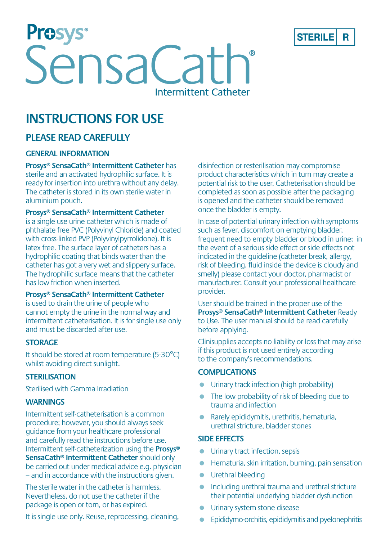

Prosys<sup>®</sup><br>SensaCath Intermittent Catheter

# **INSTRUCTIONS FOR USE**

# **PLEASE READ CAREFULLY**

#### **GENERAL INFORMATION**

**Prosys® SensaCath® Intermittent Catheter** has sterile and an activated hydrophilic surface. It is ready for insertion into urethra without any delay. The catheter is stored in its own sterile water in aluminium pouch.

**Prosys® SensaCath® Intermittent Catheter**

is a single use urine catheter which is made of phthalate free PVC (Polyvinyl Chloride) and coated with cross-linked PVP (Polyvinylpyrrolidone). It is latex free. The surface layer of catheters has a hydrophilic coating that binds water than the catheter has got a very wet and slippery surface. The hydrophilic surface means that the catheter has low friction when inserted.

#### **Prosys® SensaCath® Intermittent Catheter**

is used to drain the urine of people who cannot empty the urine in the normal way and intermittent catheterisation. It is for single use only and must be discarded after use.

#### **STORAGE**

It should be stored at room temperature (5-30°C) whilst avoiding direct sunlight.

#### **STERILISATION**

Sterilised with Gamma Irradiation

#### **WARNINGS**

Intermittent self-catheterisation is a common procedure; however, you should always seek guidance from your healthcare professional and carefully read the instructions before use. Intermittent self-catheterization using the **Prosys® SensaCath® Intermittent Catheter** should only be carried out under medical advice e.g. physician – and in accordance with the instructions given.

The sterile water in the catheter is harmless. Nevertheless, do not use the catheter if the package is open or torn, or has expired.

It is single use only. Reuse, reprocessing, cleaning,

disinfection or resterilisation may compromise product characteristics which in turn may create a potential risk to the user. Catheterisation should be completed as soon as possible after the packaging is opened and the catheter should be removed once the bladder is empty.

In case of potential urinary infection with symptoms such as fever, discomfort on emptying bladder. frequent need to empty bladder or blood in urine; in the event of a serious side effect or side effects not indicated in the guideline (catheter break, allergy, risk of bleeding, fluid inside the device is cloudy and smelly) please contact your doctor, pharmacist or manufacturer. Consult your professional healthcare provider.

User should be trained in the proper use of the **Prosys® SensaCath® Intermittent Catheter** Ready to Use. The user manual should be read carefully before applying.

Clinisupplies accepts no liability or loss that may arise if this product is not used entirely according to the company's recommendations.

#### **COMPLICATIONS**

- Urinary track infection (high probability)
- The low probability of risk of bleeding due to trauma and infection
- Rarely epididymitis, urethritis, hematuria, urethral stricture, bladder stones

#### **SIDE EFFECTS**

- **Urinary tract infection, sepsis**
- Hematuria, skin irritation, burning, pain sensation
- **•** Urethral bleeding
- **•** Including urethral trauma and urethral stricture their potential underlying bladder dysfunction
- Urinary system stone disease
- Epididymo-orchitis, epididymitis and pyelonephritis